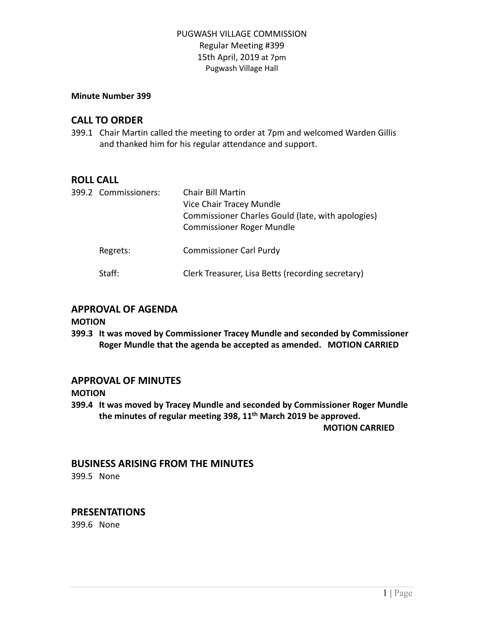#### **Minute Number 399**

# **CALL TO ORDER**

399.1 Chair Martin called the meeting to order at 7pm and welcomed Warden Gillis and thanked him for his regular attendance and support.

# **ROLL CALL**

| 399.2 Commissioners: | Chair Bill Martin<br>Vice Chair Tracey Mundle<br>Commissioner Charles Gould (late, with apologies)<br><b>Commissioner Roger Mundle</b> |
|----------------------|----------------------------------------------------------------------------------------------------------------------------------------|
| Regrets:             | <b>Commissioner Carl Purdy</b>                                                                                                         |
| Staff:               | Clerk Treasurer, Lisa Betts (recording secretary)                                                                                      |

## **APPROVAL OF AGENDA**

## **MOTION**

**399.3 It was moved by Commissioner Tracey Mundle and seconded by Commissioner Roger Mundle that the agenda be accepted as amended. MOTION CARRIED**

## **APPROVAL OF MINUTES**

**MOTION**

**399.4 It was moved by Tracey Mundle and seconded by Commissioner Roger Mundle the minutes of regular meeting 398, 11 th March 2019 be approved. MOTION CARRIED**

## **BUSINESS ARISING FROM THE MINUTES**

399.5 None

## **PRESENTATIONS**

399.6 None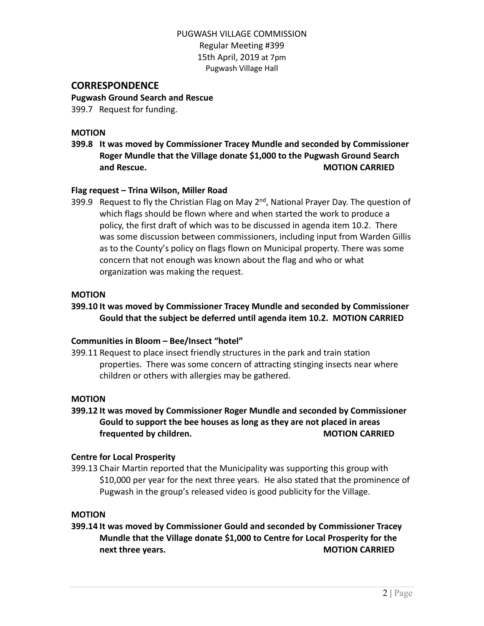## **CORRESPONDENCE**

**Pugwash Ground Search and Rescue**

399.7 Request for funding.

#### **MOTION**

**399.8 It was moved by Commissioner Tracey Mundle and seconded by Commissioner Roger Mundle that the Village donate \$1,000 to the Pugwash Ground Search and Rescue. MOTION CARRIED**

## **Flag request – Trina Wilson, Miller Road**

399.9 Request to fly the Christian Flag on May 2<sup>nd</sup>, National Prayer Day. The question of which flags should be flown where and when started the work to produce a policy, the first draft of which was to be discussed in agenda item 10.2. There was some discussion between commissioners, including input from Warden Gillis as to the County's policy on flags flown on Municipal property. There was some concern that not enough was known about the flag and who or what organization was making the request.

#### **MOTION**

## **399.10 It was moved by Commissioner Tracey Mundle and seconded by Commissioner Gould that the subject be deferred until agenda item 10.2. MOTION CARRIED**

## **Communities in Bloom – Bee/Insect "hotel"**

399.11 Request to place insect friendly structures in the park and train station properties. There was some concern of attracting stinging insects near where children or others with allergies may be gathered.

#### **MOTION**

**399.12 It was moved by Commissioner Roger Mundle and seconded by Commissioner Gould to support the bee houses as long as they are not placed in areas frequented by children. MOTION CARRIED**

#### **Centre for Local Prosperity**

399.13 Chair Martin reported that the Municipality was supporting this group with \$10,000 per year for the next three years. He also stated that the prominence of Pugwash in the group's released video is good publicity for the Village.

#### **MOTION**

**399.14 It was moved by Commissioner Gould and seconded by Commissioner Tracey Mundle that the Village donate \$1,000 to Centre for Local Prosperity for the next three years. MOTION CARRIED**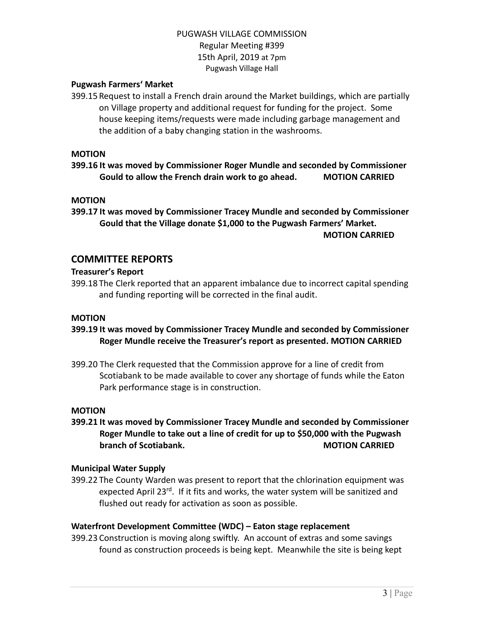## **Pugwash Farmers' Market**

399.15 Request to install a French drain around the Market buildings, which are partially on Village property and additional request for funding for the project. Some house keeping items/requests were made including garbage management and the addition of a baby changing station in the washrooms.

#### **MOTION**

**399.16 It was moved by Commissioner Roger Mundle and seconded by Commissioner Gould to allow the French drain work to go ahead. MOTION CARRIED**

#### **MOTION**

**399.17 It was moved by Commissioner Tracey Mundle and seconded by Commissioner Gould that the Village donate \$1,000 to the Pugwash Farmers' Market. MOTION CARRIED**

## **COMMITTEE REPORTS**

## **Treasurer's Report**

399.18 The Clerk reported that an apparent imbalance due to incorrect capital spending and funding reporting will be corrected in the final audit.

#### **MOTION**

- **399.19 It was moved by Commissioner Tracey Mundle and seconded by Commissioner Roger Mundle receive the Treasurer's report as presented. MOTION CARRIED**
- 399.20 The Clerk requested that the Commission approve for a line of credit from Scotiabank to be made available to cover any shortage of funds while the Eaton Park performance stage is in construction.

#### **MOTION**

**399.21 It was moved by Commissioner Tracey Mundle and seconded by Commissioner Roger Mundle to take out a line of credit for up to \$50,000 with the Pugwash branch** of Scotiabank. **MOTION MOTION CARRIED** 

## **Municipal Water Supply**

399.22 The County Warden was present to report that the chlorination equipment was expected April 23<sup>rd</sup>. If it fits and works, the water system will be sanitized and flushed out ready for activation as soon as possible.

## **Waterfront Development Committee (WDC) – Eaton stage replacement**

399.23 Construction is moving along swiftly. An account of extras and some savings found as construction proceeds is being kept. Meanwhile the site is being kept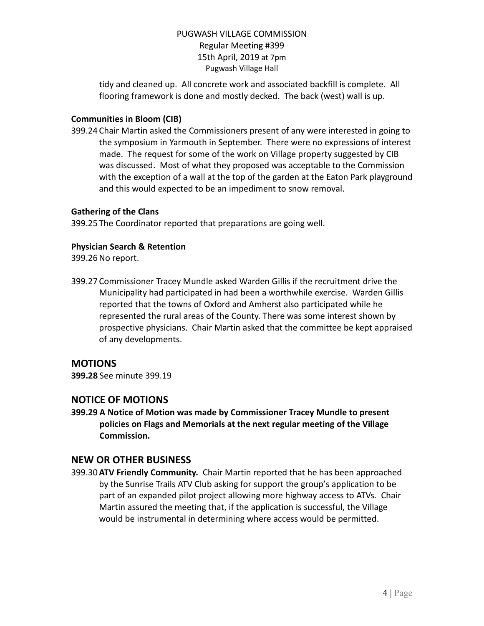tidy and cleaned up. All concrete work and associated backfill is complete. All flooring framework is done and mostly decked. The back (west) wall is up.

## **Communities in Bloom (CIB)**

399.24 Chair Martin asked the Commissioners present of any were interested in going to the symposium in Yarmouth in September. There were no expressions of interest made. The request for some of the work on Village property suggested by CIB was discussed. Most of what they proposed was acceptable to the Commission with the exception of a wall at the top of the garden at the Eaton Park playground and this would expected to be an impediment to snow removal.

## **Gathering of the Clans**

399.25 The Coordinator reported that preparations are going well.

# **Physician Search & Retention**

399.26No report.

399.27 Commissioner Tracey Mundle asked Warden Gillis if the recruitment drive the Municipality had participated in had been a worthwhile exercise. Warden Gillis reported that the towns of Oxford and Amherst also participated while he represented the rural areas of the County. There was some interest shown by prospective physicians. Chair Martin asked that the committee be kept appraised of any developments.

# **MOTIONS**

**399.28** See minute 399.19

# **NOTICE OF MOTIONS**

**399.29 A Notice of Motion was made by Commissioner Tracey Mundle to present policies on Flags and Memorials at the next regular meeting of the Village Commission.**

# **NEW OR OTHER BUSINESS**

399.30**ATV Friendly Community.** Chair Martin reported that he has been approached by the Sunrise Trails ATV Club asking for support the group's application to be part of an expanded pilot project allowing more highway access to ATVs. Chair Martin assured the meeting that, if the application is successful, the Village would be instrumental in determining where access would be permitted.